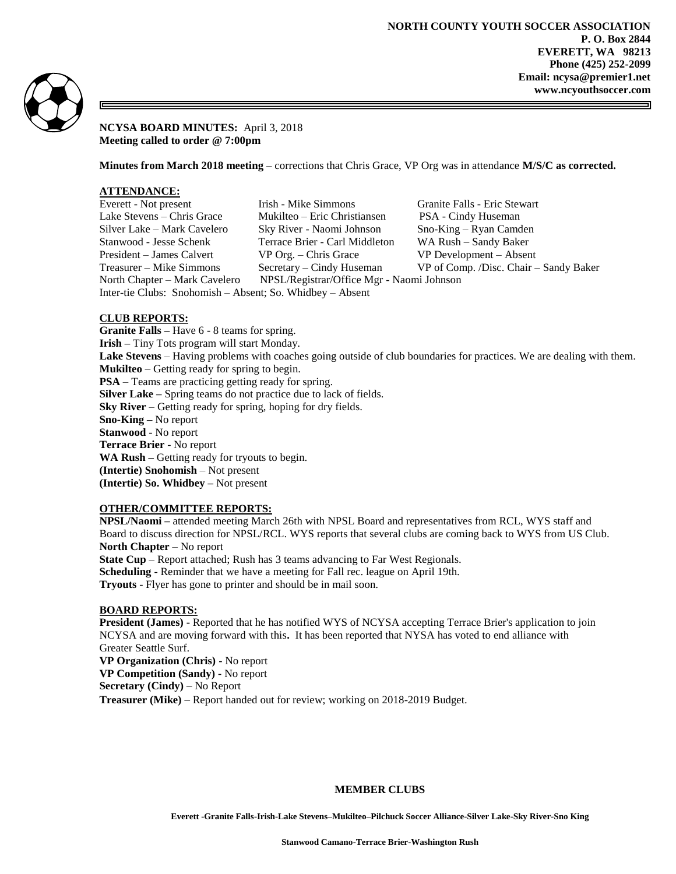

**NCYSA BOARD MINUTES:** April 3, 2018 **Meeting called to order @ 7:00pm**

**Minutes from March 2018 meeting** – corrections that Chris Grace, VP Org was in attendance **M/S/C as corrected.**

# **ATTENDANCE:**

| Everett - Not present                                     | Irish - Mike Simmons                      | Granite Falls - Eric Stewart           |
|-----------------------------------------------------------|-------------------------------------------|----------------------------------------|
| Lake Stevens – Chris Grace                                | Mukilteo – Eric Christiansen              | PSA - Cindy Huseman                    |
| Silver Lake – Mark Cavelero                               | Sky River - Naomi Johnson                 | Sno-King – Ryan Camden                 |
| Stanwood - Jesse Schenk                                   | Terrace Brier - Carl Middleton            | WA Rush – Sandy Baker                  |
| President – James Calvert                                 | $VP$ Org. – Chris Grace                   | VP Development – Absent                |
| Treasurer – Mike Simmons                                  | Secretary – Cindy Huseman                 | VP of Comp. /Disc. Chair – Sandy Baker |
| North Chapter – Mark Cavelero                             | NPSL/Registrar/Office Mgr - Naomi Johnson |                                        |
| Inter-tie Clubs: Snohomish - Absent; So. Whidbey - Absent |                                           |                                        |

# **CLUB REPORTS:**

**Granite Falls –** Have 6 - 8 teams for spring. **Irish –** Tiny Tots program will start Monday. **Lake Stevens** – Having problems with coaches going outside of club boundaries for practices. We are dealing with them. **Mukilteo** – Getting ready for spring to begin. **PSA** – Teams are practicing getting ready for spring. **Silver Lake –** Spring teams do not practice due to lack of fields. **Sky River** – Getting ready for spring, hoping for dry fields. **Sno-King –** No report **Stanwood** - No report **Terrace Brier** - No report **WA Rush –** Getting ready for tryouts to begin. **(Intertie) Snohomish** – Not present **(Intertie) So. Whidbey –** Not present

### **OTHER/COMMITTEE REPORTS:**

**NPSL/Naomi –** attended meeting March 26th with NPSL Board and representatives from RCL, WYS staff and Board to discuss direction for NPSL/RCL. WYS reports that several clubs are coming back to WYS from US Club. **North Chapter** – No report **State Cup** – Report attached; Rush has 3 teams advancing to Far West Regionals. **Scheduling** - Reminder that we have a meeting for Fall rec. league on April 19th. **Tryouts** - Flyer has gone to printer and should be in mail soon.

# **BOARD REPORTS:**

**President (James) -** Reported that he has notified WYS of NCYSA accepting Terrace Brier's application to join NCYSA and are moving forward with this**.** It has been reported that NYSA has voted to end alliance with Greater Seattle Surf.

**VP Organization (Chris) -** No report **VP Competition (Sandy) -** No report **Secretary (Cindy)** – No Report **Treasurer (Mike)** – Report handed out for review; working on 2018-2019 Budget.

### **MEMBER CLUBS**

**Everett -Granite Falls-Irish-Lake Stevens–Mukilteo–Pilchuck Soccer Alliance-Silver Lake-Sky River-Sno King**